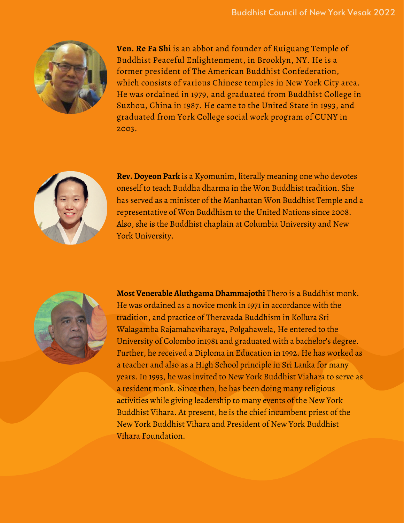

**Ven. Re Fa Shi** is an abbot and founder of Ruiguang Temple of Buddhist Peaceful Enlightenment, in Brooklyn, NY. He is a former president of The American Buddhist Confederation, which consists of various Chinese temples in New York City area. He was ordained in 1979, and graduated from Buddhist College in Suzhou, China in 1987. He came to the United State in 1993, and graduated from York College social work program of CUNY in 2003.



**Rev. Doyeon Park** is a Kyomunim, literally meaning one who devotes oneself to teach Buddha dharma in the Won Buddhist tradition. She has served as a minister of the Manhattan Won Buddhist Temple and a representative of Won Buddhism to the United Nations since 2008. Also, she is the Buddhist chaplain at Columbia University and New York University.



**Most Venerable Aluthgama Dhammajothi** Thero is a Buddhist monk. He was ordained as a novice monk in 1971 in accordance with the tradition, and practice of Theravada Buddhism in Kollura Sri Walagamba Rajamahaviharaya, Polgahawela, He entered to the University of Colombo in1981 and graduated with a bachelor's degree. Further, he received a Diploma in Education in 1992. He has worked as a teacher and also as a High School principle in Sri Lanka for many years. In 1993, he was invited to New York Buddhist Viahara to serve as a resident monk. Since then, he has been doing many religious activities while giving leadership to many events of the New York Buddhist Vihara. At present, he is the chief incumbent priest of the New York Buddhist Vihara and President of New York Buddhist Vihara Foundation.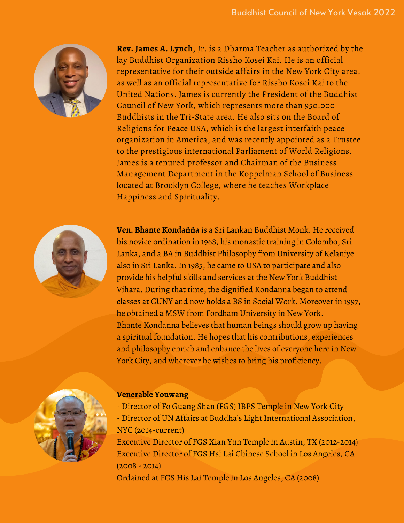

**Rev. James A. Lynch**, Jr. is a Dharma Teacher as authorized by the lay Buddhist Organization Rissho Kosei Kai. He is an official representative for their outside affairs in the New York City area, as well as an official representative for Rissho Kosei Kai to the United Nations. James is currently the President of the Buddhist Council of New York, which represents more than 950,000 Buddhists in the Tri-State area. He also sits on the Board of Religions for Peace USA, which is the largest interfaith peace organization in America, and was recently appointed as a Trustee to the prestigious international Parliament of World Religions. James is a tenured professor and Chairman of the Business Management Department in the Koppelman School of Business located at Brooklyn College, where he teaches Workplace Happiness and Spirituality.



**Ven. Bhante Kondañña** is a Sri Lankan Buddhist Monk. He received his novice ordination in 1968, his monastic training in Colombo, Sri Lanka, and a BA in Buddhist Philosophy from University of Kelaniye also in Sri Lanka. In 1985, he came to USA to participate and also provide his helpful skills and services at the New York Buddhist Vihara. During that time, the dignified Kondanna began to attend classes at CUNY and now holds a BS in Social Work. Moreover in 1997, he obtained a MSW from Fordham University in New York. Bhante Kondanna believes that human beings should grow up having a spiritual foundation. He hopes that his contributions, experiences and philosophy enrich and enhance the lives of everyone here in New York City, and wherever he wishes to bring his proficiency.



## **Venerable Youwang**

- Director of Fo Guang Shan (FGS) IBPS Temple in New York City
- Director of UN Affairs at Buddha's Light International Association, NYC (2014-current)

Executive Director of FGS Xian Yun Temple in Austin, TX (2012-2014) Executive Director of FGS Hsi Lai Chinese School in Los Angeles, CA (2008 - 2014)

Ordained at FGS His Lai Temple in Los Angeles, CA (2008)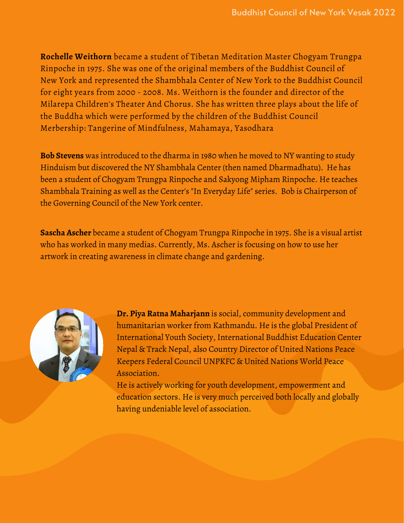**Rochelle Weithorn** became a student of Tibetan Meditation Master Chogyam Trungpa Rinpoche in 1975. She was one of the original members of the Buddhist Council of New York and represented the Shambhala Center of New York to the Buddhist Council for eight years from 2000 - 2008. Ms. Weithorn is the founder and director of the Milarepa Children's Theater And Chorus. She has written three plays about the life of the Buddha which were performed by the children of the Buddhist Council Merbership: Tangerine of Mindfulness, Mahamaya, Yasodhara

**Bob Stevens** was introduced to the dharma in 1980 when he moved to NY wanting to study Hinduism but discovered the NY Shambhala Center (then named Dharmadhatu). He has been a student of Chogyam Trungpa Rinpoche and Sakyong Mipham Rinpoche. He teaches Shambhala Training as well as the Center's "In Everyday Life" series. Bob is Chairperson of the Governing Council of the New York center.

**Sascha Ascher** became a student of Chogyam Trungpa Rinpoche in 1975. She is a visual artist who has worked in many medias. Currently, Ms. Ascher is focusing on how to use her artwork in creating awareness in climate change and gardening.



**Dr. Piya Ratna Maharjann** is social, community development and humanitarian worker from Kathmandu. He is the global President of International Youth Society, International Buddhist Education Center Nepal & Track Nepal, also Country Director of United Nations Peace Keepers Federal Council UNPKFC & United Nations World Peace Association.

He is actively working for youth development, empowerment and education sectors. He is very much perceived both locally and globally having undeniable level of association.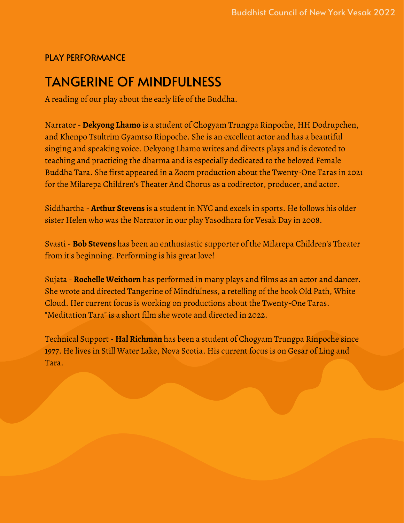## PLAY PERFORMANCE

## TANGERINE OF MINDFULNESS

A reading of our play about the early life of the Buddha.

Narrator - **Dekyong Lhamo** is a student of Chogyam Trungpa Rinpoche, HH Dodrupchen, and Khenpo Tsultrim Gyamtso Rinpoche. She is an excellent actor and has a beautiful singing and speaking voice. Dekyong Lhamo writes and directs plays and is devoted to teaching and practicing the dharma and is especially dedicated to the beloved Female Buddha Tara. She first appeared in a Zoom production about the Twenty-One Taras in 2021 for the Milarepa Children's Theater And Chorus as a codirector, producer, and actor.

Siddhartha - **Arthur Stevens** is a student in NYC and excels in sports. He follows his older sister Helen who was the Narrator in our play Yasodhara for Vesak Day in 2008.

Svasti - **Bob Stevens** has been an enthusiastic supporter of the Milarepa Children's Theater from it's beginning. Performing is his great love!

Sujata - **Rochelle Weithorn** has performed in many plays and films as an actor and dancer. She wrote and directed Tangerine of Mindfulness, a retelling of the book Old Path, White Cloud. Her current focus is working on productions about the Twenty-One Taras. "Meditation Tara" is a short film she wrote and directed in 2022.

Technical Support - **Hal Richman** has been a student of Chogyam Trungpa Rinpoche since 1977. He lives in Still Water Lake, Nova Scotia. His current focus is on Gesar of Ling and Tara.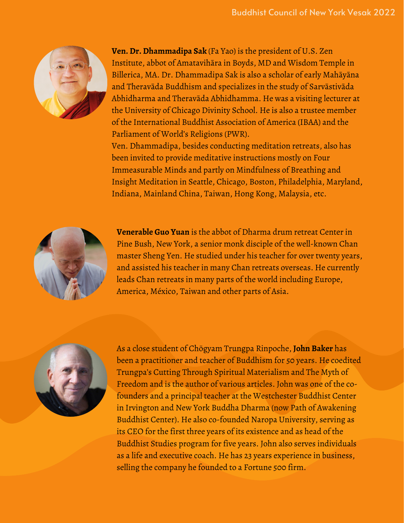

**Ven. Dr. Dhammadipa Sak** (Fa Yao) is the president of U.S. Zen Institute, abbot of Amatavihāra in Boyds, MD and Wisdom Temple in Billerica, MA. Dr. Dhammadipa Sak is also a scholar of early Mahāyāna and Theravāda Buddhism and specializes in the study of Sarvāstivāda Abhidharma and Theravāda Abhidhamma. He was a visiting lecturer at the University of Chicago Divinity School. He is also a trustee member of the International Buddhist Association of America (IBAA) and the Parliament of World's Religions (PWR).

Ven. Dhammadipa, besides conducting meditation retreats, also has been invited to provide meditative instructions mostly on Four Immeasurable Minds and partly on Mindfulness of Breathing and Insight Meditation in Seattle, Chicago, Boston, Philadelphia, Maryland, Indiana, Mainland China, Taiwan, Hong Kong, Malaysia, etc.



**Venerable Guo Yuan** is the abbot of Dharma drum retreat Center in Pine Bush, New York, a senior monk disciple of the well-known Chan master Sheng Yen. He studied under his teacher for over twenty years, and assisted his teacher in many Chan retreats overseas. He currently leads Chan retreats in many parts of the world including Europe, America, México, Taiwan and other parts of Asia.



As a close student of Chögyam Trungpa Rinpoche, **John Baker** has been a practitioner and teacher of Buddhism for 50 years. He coedited Trungpa's Cutting Through Spiritual Materialism and The Myth of Freedom and is the author of various articles. John was one of the cofounders and a principal teacher at the Westchester Buddhist Center in Irvington and New York Buddha Dharma (now Path of Awakening Buddhist Center). He also co-founded Naropa University, serving as its CEO for the first three years of its existence and as head of the Buddhist Studies program for five years. John also serves individuals as a life and executive coach. He has 23 years experience in business, selling the company he founded to a Fortune 500 firm.